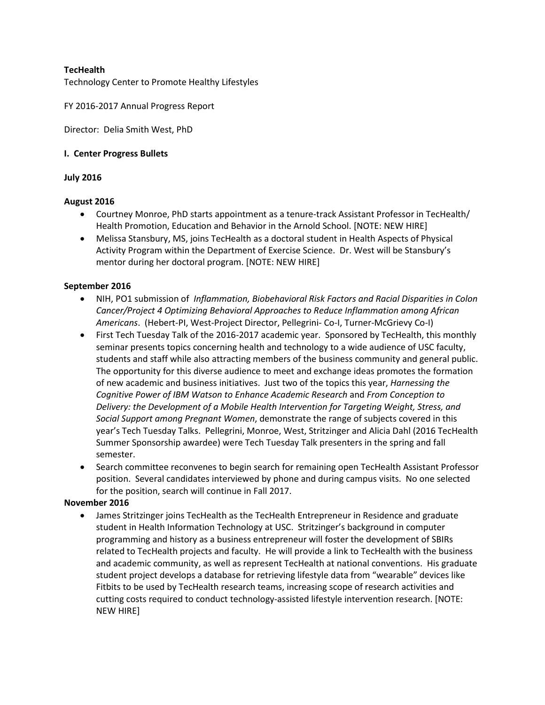## **TecHealth**

Technology Center to Promote Healthy Lifestyles

FY 2016-2017 Annual Progress Report

Director: Delia Smith West, PhD

#### **I. Center Progress Bullets**

### **July 2016**

#### **August 2016**

- Courtney Monroe, PhD starts appointment as a tenure-track Assistant Professor in TecHealth/ Health Promotion, Education and Behavior in the Arnold School. [NOTE: NEW HIRE]
- Melissa Stansbury, MS, joins TecHealth as a doctoral student in Health Aspects of Physical Activity Program within the Department of Exercise Science. Dr. West will be Stansbury's mentor during her doctoral program. [NOTE: NEW HIRE]

### **September 2016**

- NIH, PO1 submission of *Inflammation, Biobehavioral Risk Factors and Racial Disparities in Colon Cancer/Project 4 Optimizing Behavioral Approaches to Reduce Inflammation among African Americans*. (Hebert-PI, West-Project Director, Pellegrini- Co-I, Turner-McGrievy Co-I)
- First Tech Tuesday Talk of the 2016-2017 academic year. Sponsored by TecHealth, this monthly seminar presents topics concerning health and technology to a wide audience of USC faculty, students and staff while also attracting members of the business community and general public. The opportunity for this diverse audience to meet and exchange ideas promotes the formation of new academic and business initiatives. Just two of the topics this year, *Harnessing the Cognitive Power of IBM Watson to Enhance Academic Research* and *From Conception to Delivery: the Development of a Mobile Health Intervention for Targeting Weight, Stress, and Social Support among Pregnant Women*, demonstrate the range of subjects covered in this year's Tech Tuesday Talks. Pellegrini, Monroe, West, Stritzinger and Alicia Dahl (2016 TecHealth Summer Sponsorship awardee) were Tech Tuesday Talk presenters in the spring and fall semester.
- Search committee reconvenes to begin search for remaining open TecHealth Assistant Professor position. Several candidates interviewed by phone and during campus visits. No one selected for the position, search will continue in Fall 2017.

#### **November 2016**

• James Stritzinger joins TecHealth as the TecHealth Entrepreneur in Residence and graduate student in Health Information Technology at USC. Stritzinger's background in computer programming and history as a business entrepreneur will foster the development of SBIRs related to TecHealth projects and faculty. He will provide a link to TecHealth with the business and academic community, as well as represent TecHealth at national conventions. His graduate student project develops a database for retrieving lifestyle data from "wearable" devices like Fitbits to be used by TecHealth research teams, increasing scope of research activities and cutting costs required to conduct technology-assisted lifestyle intervention research. [NOTE: NEW HIRE]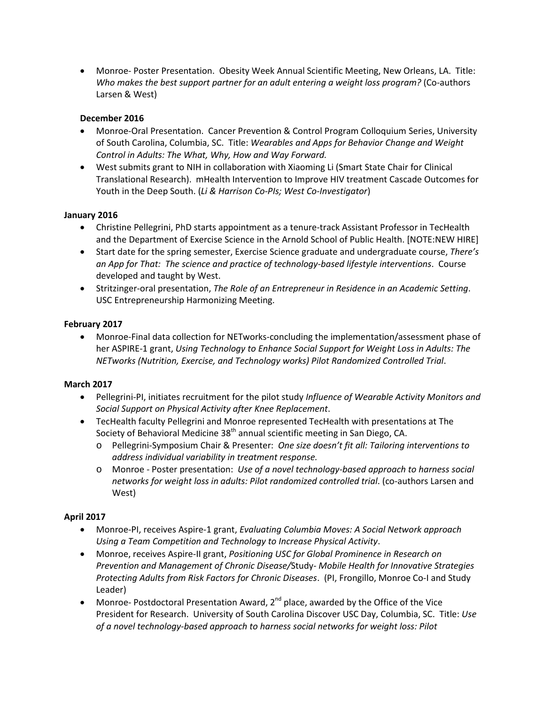• Monroe- Poster Presentation. Obesity Week Annual Scientific Meeting, New Orleans, LA. Title: *Who makes the best support partner for an adult entering a weight loss program?* (Co-authors Larsen & West)

## **December 2016**

- Monroe-Oral Presentation. Cancer Prevention & Control Program Colloquium Series, University of South Carolina, Columbia, SC. Title: *Wearables and Apps for Behavior Change and Weight Control in Adults: The What, Why, How and Way Forward.*
- West submits grant to NIH in collaboration with Xiaoming Li (Smart State Chair for Clinical Translational Research). mHealth Intervention to Improve HIV treatment Cascade Outcomes for Youth in the Deep South. (*Li & Harrison Co-PIs; West Co-Investigator*)

## **January 2016**

- Christine Pellegrini, PhD starts appointment as a tenure-track Assistant Professor in TecHealth and the Department of Exercise Science in the Arnold School of Public Health. [NOTE:NEW HIRE]
- Start date for the spring semester, Exercise Science graduate and undergraduate course, *There's an App for That: The science and practice of technology-based lifestyle interventions*. Course developed and taught by West.
- Stritzinger-oral presentation, *The Role of an Entrepreneur in Residence in an Academic Setting*. USC Entrepreneurship Harmonizing Meeting.

### **February 2017**

• Monroe-Final data collection for NETworks-concluding the implementation/assessment phase of her ASPIRE-1 grant, *Using Technology to Enhance Social Support for Weight Loss in Adults: The NETworks (Nutrition, Exercise, and Technology works) Pilot Randomized Controlled Trial*.

### **March 2017**

- Pellegrini-PI, initiates recruitment for the pilot study *Influence of Wearable Activity Monitors and Social Support on Physical Activity after Knee Replacement*.
- TecHealth faculty Pellegrini and Monroe represented TecHealth with presentations at The Society of Behavioral Medicine 38<sup>th</sup> annual scientific meeting in San Diego, CA.
	- o Pellegrini-Symposium Chair & Presenter: *One size doesn't fit all: Tailoring interventions to address individual variability in treatment response.*
	- o Monroe Poster presentation: *Use of a novel technology-based approach to harness social networks for weight loss in adults: Pilot randomized controlled trial*. (co-authors Larsen and West)

# **April 2017**

- Monroe-PI, receives Aspire-1 grant, *Evaluating Columbia Moves: A Social Network approach Using a Team Competition and Technology to Increase Physical Activity*.
- Monroe, receives Aspire-II grant, *Positioning USC for Global Prominence in Research on Prevention and Management of Chronic Disease/*Study*- Mobile Health for Innovative Strategies Protecting Adults from Risk Factors for Chronic Diseases*. (PI, Frongillo, Monroe Co-I and Study Leader)
- Monroe- Postdoctoral Presentation Award,  $2^{nd}$  place, awarded by the Office of the Vice President for Research. University of South Carolina Discover USC Day, Columbia, SC. Title: *Use of a novel technology-based approach to harness social networks for weight loss: Pilot*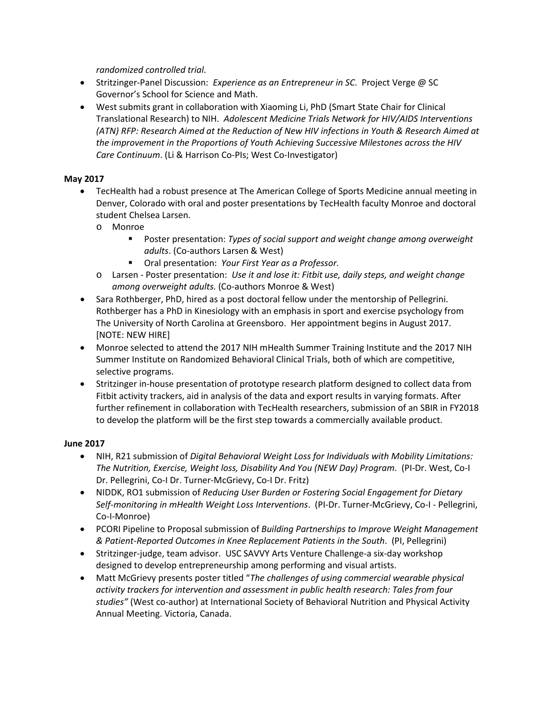*randomized controlled trial*.

- Stritzinger-Panel Discussion: *Experience as an Entrepreneur in SC*. Project Verge @ SC Governor's School for Science and Math.
- West submits grant in collaboration with Xiaoming Li, PhD (Smart State Chair for Clinical Translational Research) to NIH. *Adolescent Medicine Trials Network for HIV/AIDS Interventions (ATN) RFP: Research Aimed at the Reduction of New HIV infections in Youth & Research Aimed at the improvement in the Proportions of Youth Achieving Successive Milestones across the HIV Care Continuum*. (Li & Harrison Co-PIs; West Co-Investigator)

# **May 2017**

- TecHealth had a robust presence at The American College of Sports Medicine annual meeting in Denver, Colorado with oral and poster presentations by TecHealth faculty Monroe and doctoral student Chelsea Larsen.
	- o Monroe
		- Poster presentation: *Types of social support and weight change among overweight adults*. (Co-authors Larsen & West)
		- Oral presentation: *Your First Year as a Professor.*
	- o Larsen Poster presentation: *Use it and lose it: Fitbit use, daily steps, and weight change among overweight adults.* (Co-authors Monroe & West)
- Sara Rothberger, PhD, hired as a post doctoral fellow under the mentorship of Pellegrini. Rothberger has a PhD in Kinesiology with an emphasis in sport and exercise psychology from The University of North Carolina at Greensboro. Her appointment begins in August 2017. [NOTE: NEW HIRE]
- Monroe selected to attend the 2017 NIH mHealth Summer Training Institute and the 2017 NIH Summer Institute on Randomized Behavioral Clinical Trials, both of which are competitive, selective programs.
- Stritzinger in-house presentation of prototype research platform designed to collect data from Fitbit activity trackers, aid in analysis of the data and export results in varying formats. After further refinement in collaboration with TecHealth researchers, submission of an SBIR in FY2018 to develop the platform will be the first step towards a commercially available product.

### **June 2017**

- NIH, R21 submission of *Digital Behavioral Weight Loss for Individuals with Mobility Limitations: The Nutrition, Exercise, Weight loss, Disability And You (NEW Day) Program*. (PI-Dr. West, Co-I Dr. Pellegrini, Co-I Dr. Turner-McGrievy, Co-I Dr. Fritz)
- NIDDK, RO1 submission of *Reducing User Burden or Fostering Social Engagement for Dietary Self-monitoring in mHealth Weight Loss Interventions*. (PI-Dr. Turner-McGrievy, Co-I - Pellegrini, Co-I-Monroe)
- PCORI Pipeline to Proposal submission of *Building Partnerships to Improve Weight Management & Patient-Reported Outcomes in Knee Replacement Patients in the South*. (PI, Pellegrini)
- Stritzinger-judge, team advisor. USC SAVVY Arts Venture Challenge-a six-day workshop designed to develop entrepreneurship among performing and visual artists.
- Matt McGrievy presents poster titled "*The challenges of using commercial wearable physical activity trackers for intervention and assessment in public health research: Tales from four studies"* (West co-author) at International Society of Behavioral Nutrition and Physical Activity Annual Meeting. Victoria, Canada.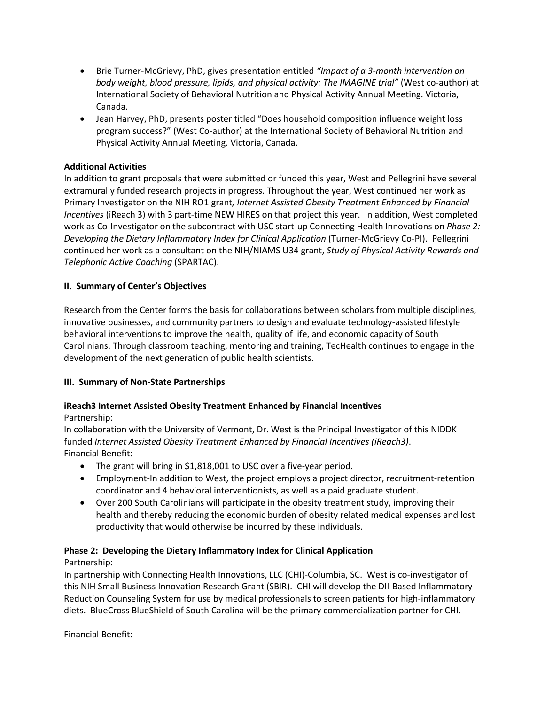- Brie Turner-McGrievy, PhD, gives presentation entitled *"Impact of a 3-month intervention on body weight, blood pressure, lipids, and physical activity: The IMAGINE trial"* (West co-author) at International Society of Behavioral Nutrition and Physical Activity Annual Meeting. Victoria, Canada.
- Jean Harvey, PhD, presents poster titled "Does household composition influence weight loss program success?" (West Co-author) at the International Society of Behavioral Nutrition and Physical Activity Annual Meeting. Victoria, Canada.

## **Additional Activities**

In addition to grant proposals that were submitted or funded this year, West and Pellegrini have several extramurally funded research projects in progress. Throughout the year, West continued her work as Primary Investigator on the NIH RO1 grant*, Internet Assisted Obesity Treatment Enhanced by Financial Incentives* (iReach 3) with 3 part-time NEW HIRES on that project this year. In addition, West completed work as Co-Investigator on the subcontract with USC start-up Connecting Health Innovations on *Phase 2: Developing the Dietary Inflammatory Index for Clinical Application* (Turner-McGrievy Co-PI). Pellegrini continued her work as a consultant on the NIH/NIAMS U34 grant, *Study of Physical Activity Rewards and Telephonic Active Coaching* (SPARTAC).

## **II. Summary of Center's Objectives**

Research from the Center forms the basis for collaborations between scholars from multiple disciplines, innovative businesses, and community partners to design and evaluate technology-assisted lifestyle behavioral interventions to improve the health, quality of life, and economic capacity of South Carolinians. Through classroom teaching, mentoring and training, TecHealth continues to engage in the development of the next generation of public health scientists.

### **III. Summary of Non-State Partnerships**

# **iReach3 Internet Assisted Obesity Treatment Enhanced by Financial Incentives**

### Partnership:

In collaboration with the University of Vermont, Dr. West is the Principal Investigator of this NIDDK funded *Internet Assisted Obesity Treatment Enhanced by Financial Incentives (iReach3)*. Financial Benefit:

- The grant will bring in \$1,818,001 to USC over a five-year period.
- Employment-In addition to West, the project employs a project director, recruitment-retention coordinator and 4 behavioral interventionists, as well as a paid graduate student.
- Over 200 South Carolinians will participate in the obesity treatment study, improving their health and thereby reducing the economic burden of obesity related medical expenses and lost productivity that would otherwise be incurred by these individuals.

### **Phase 2: Developing the Dietary Inflammatory Index for Clinical Application**

Partnership:

In partnership with Connecting Health Innovations, LLC (CHI)-Columbia, SC. West is co-investigator of this NIH Small Business Innovation Research Grant (SBIR). CHI will develop the DII-Based Inflammatory Reduction Counseling System for use by medical professionals to screen patients for high-inflammatory diets. BlueCross BlueShield of South Carolina will be the primary commercialization partner for CHI.

Financial Benefit: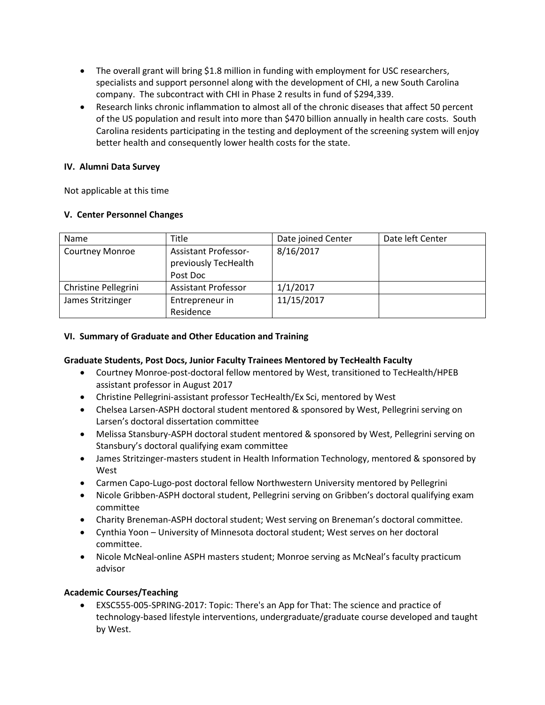- The overall grant will bring \$1.8 million in funding with employment for USC researchers, specialists and support personnel along with the development of CHI, a new South Carolina company. The subcontract with CHI in Phase 2 results in fund of \$294,339.
- Research links chronic inflammation to almost all of the chronic diseases that affect 50 percent of the US population and result into more than \$470 billion annually in health care costs. South Carolina residents participating in the testing and deployment of the screening system will enjoy better health and consequently lower health costs for the state.

## **IV. Alumni Data Survey**

Not applicable at this time

## **V. Center Personnel Changes**

| Name                   | Title                                               | Date joined Center | Date left Center |
|------------------------|-----------------------------------------------------|--------------------|------------------|
| <b>Courtney Monroe</b> | <b>Assistant Professor-</b><br>previously TecHealth | 8/16/2017          |                  |
|                        | Post Doc                                            |                    |                  |
| Christine Pellegrini   | <b>Assistant Professor</b>                          | 1/1/2017           |                  |
| James Stritzinger      | Entrepreneur in                                     | 11/15/2017         |                  |
|                        | Residence                                           |                    |                  |

## **VI. Summary of Graduate and Other Education and Training**

# **Graduate Students, Post Docs, Junior Faculty Trainees Mentored by TecHealth Faculty**

- Courtney Monroe-post-doctoral fellow mentored by West, transitioned to TecHealth/HPEB assistant professor in August 2017
- Christine Pellegrini-assistant professor TecHealth/Ex Sci, mentored by West
- Chelsea Larsen-ASPH doctoral student mentored & sponsored by West, Pellegrini serving on Larsen's doctoral dissertation committee
- Melissa Stansbury-ASPH doctoral student mentored & sponsored by West, Pellegrini serving on Stansbury's doctoral qualifying exam committee
- James Stritzinger-masters student in Health Information Technology, mentored & sponsored by West
- Carmen Capo-Lugo-post doctoral fellow Northwestern University mentored by Pellegrini
- Nicole Gribben-ASPH doctoral student, Pellegrini serving on Gribben's doctoral qualifying exam committee
- Charity Breneman-ASPH doctoral student; West serving on Breneman's doctoral committee.
- Cynthia Yoon University of Minnesota doctoral student; West serves on her doctoral committee.
- Nicole McNeal-online ASPH masters student; Monroe serving as McNeal's faculty practicum advisor

# **Academic Courses/Teaching**

• [EXSC555-005-SPRING-2017:](https://blackboard.sc.edu/webapps/blackboard/execute/launcher?type=Course&id=_974582_1&url=) Topic: There's an App for That: The science and practice of [technology-based](https://blackboard.sc.edu/webapps/blackboard/execute/launcher?type=Course&id=_974582_1&url=) lifestyle interventions, undergraduate/graduate course developed and taught by West.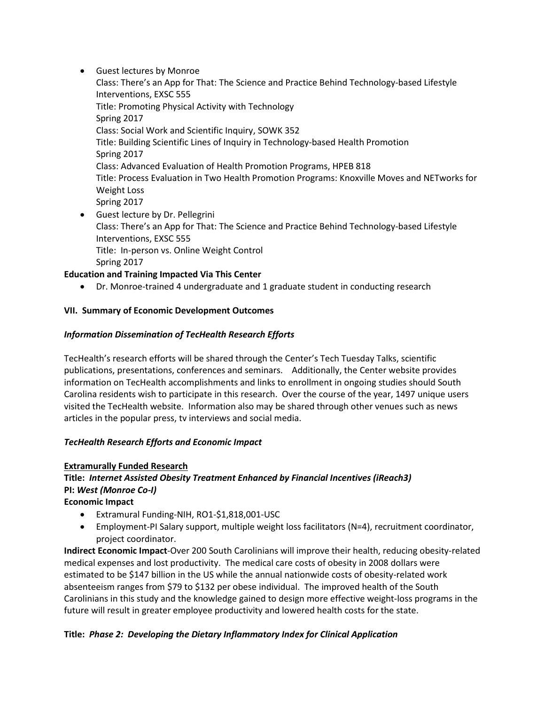• Guest lectures by Monroe

Class: There's an App for That: The Science and Practice Behind Technology-based Lifestyle Interventions, EXSC 555 Title: Promoting Physical Activity with Technology Spring 2017 Class: Social Work and Scientific Inquiry, SOWK 352 Title: Building Scientific Lines of Inquiry in Technology-based Health Promotion Spring 2017 Class: Advanced Evaluation of Health Promotion Programs, HPEB 818 Title: Process Evaluation in Two Health Promotion Programs: Knoxville Moves and NETworks for Weight Loss Spring 2017 • Guest lecture by Dr. Pellegrini

Class: There's an App for That: The Science and Practice Behind Technology-based Lifestyle Interventions, EXSC 555 Title: In-person vs. Online Weight Control Spring 2017

# **Education and Training Impacted Via This Center**

• Dr. Monroe-trained 4 undergraduate and 1 graduate student in conducting research

# **VII. Summary of Economic Development Outcomes**

# *Information Dissemination of TecHealth Research Efforts*

TecHealth's research efforts will be shared through the Center's Tech Tuesday Talks, scientific publications, presentations, conferences and seminars. Additionally, the Center website provides information on TecHealth accomplishments and links to enrollment in ongoing studies should South Carolina residents wish to participate in this research. Over the course of the year, 1497 unique users visited the TecHealth website. Information also may be shared through other venues such as news articles in the popular press, tv interviews and social media.

# *TecHealth Research Efforts and Economic Impact*

# **Extramurally Funded Research Title:** *Internet Assisted Obesity Treatment Enhanced by Financial Incentives (iReach3)* **PI:** *West (Monroe Co-I)*

**Economic Impact**

- Extramural Funding-NIH, RO1-\$1,818,001-USC
- Employment-PI Salary support, multiple weight loss facilitators (N=4), recruitment coordinator, project coordinator.

**Indirect Economic Impact**-Over 200 South Carolinians will improve their health, reducing obesity-related medical expenses and lost productivity. The medical care costs of obesity in 2008 dollars were estimated to be \$147 billion in the US while the annual nationwide costs of obesity-related work absenteeism ranges from \$79 to \$132 per obese individual. The improved health of the South Carolinians in this study and the knowledge gained to design more effective weight-loss programs in the future will result in greater employee productivity and lowered health costs for the state.

# **Title:** *Phase 2:**Developing the Dietary Inflammatory Index for Clinical Application*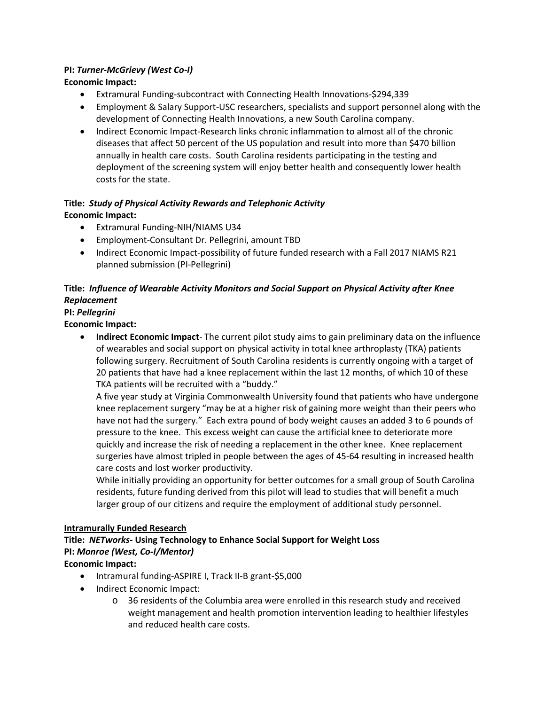# **PI:** *Turner-McGrievy (West Co-I)*

# **Economic Impact:**

- Extramural Funding-subcontract with Connecting Health Innovations-\$294,339
- Employment & Salary Support-USC researchers, specialists and support personnel along with the development of Connecting Health Innovations, a new South Carolina company.
- Indirect Economic Impact-Research links chronic inflammation to almost all of the chronic diseases that affect 50 percent of the US population and result into more than \$470 billion annually in health care costs. South Carolina residents participating in the testing and deployment of the screening system will enjoy better health and consequently lower health costs for the state.

# **Title:** *Study of Physical Activity Rewards and Telephonic Activity* **Economic Impact:**

- Extramural Funding-NIH/NIAMS U34
- Employment-Consultant Dr. Pellegrini, amount TBD
- Indirect Economic Impact-possibility of future funded research with a Fall 2017 NIAMS R21 planned submission (PI-Pellegrini)

# **Title:** *Influence of Wearable Activity Monitors and Social Support on Physical Activity after Knee Replacement*

# **PI:** *Pellegrini*

**Economic Impact:**

• **Indirect Economic Impact**- The current pilot study aims to gain preliminary data on the influence of wearables and social support on physical activity in total knee arthroplasty (TKA) patients following surgery. Recruitment of South Carolina residents is currently ongoing with a target of 20 patients that have had a knee replacement within the last 12 months, of which 10 of these TKA patients will be recruited with a "buddy."

A five year study at Virginia Commonwealth University found that patients who have undergone knee replacement surgery "may be at a higher risk of gaining more weight than their peers who have not had the surgery." Each extra pound of body weight causes an added 3 to 6 pounds of pressure to the knee. This excess weight can cause the artificial knee to deteriorate more quickly and increase the risk of needing a replacement in the other knee. Knee replacement surgeries have almost tripled in people between the ages of 45-64 resulting in increased health care costs and lost worker productivity.

While initially providing an opportunity for better outcomes for a small group of South Carolina residents, future funding derived from this pilot will lead to studies that will benefit a much larger group of our citizens and require the employment of additional study personnel.

# **Intramurally Funded Research**

# **Title:** *NETworks-* **Using Technology to Enhance Social Support for Weight Loss PI:** *Monroe (West, Co-I/Mentor)*

# **Economic Impact:**

- Intramural funding-ASPIRE I, Track II-B grant-\$5,000
- Indirect Economic Impact:
	- o 36 residents of the Columbia area were enrolled in this research study and received weight management and health promotion intervention leading to healthier lifestyles and reduced health care costs.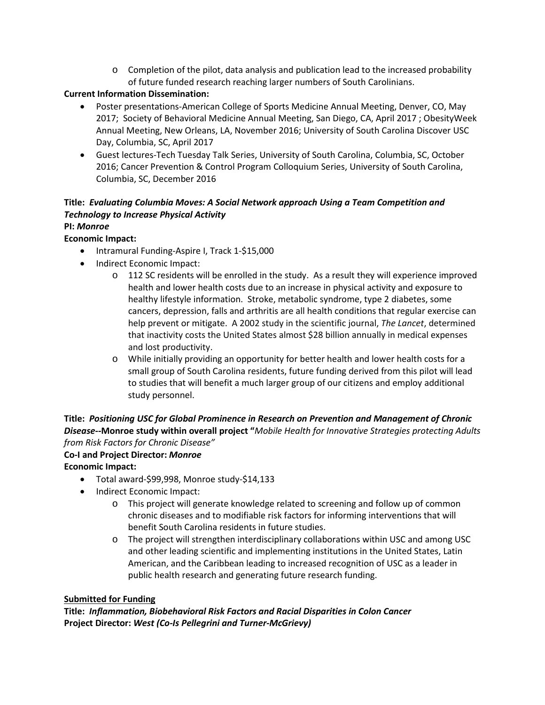$\circ$  Completion of the pilot, data analysis and publication lead to the increased probability of future funded research reaching larger numbers of South Carolinians.

# **Current Information Dissemination:**

- Poster presentations-American College of Sports Medicine Annual Meeting, Denver, CO, May 2017; Society of Behavioral Medicine Annual Meeting, San Diego, CA, April 2017 ; ObesityWeek Annual Meeting, New Orleans, LA, November 2016; University of South Carolina Discover USC Day, Columbia, SC, April 2017
- Guest lectures-Tech Tuesday Talk Series, University of South Carolina, Columbia, SC, October 2016; Cancer Prevention & Control Program Colloquium Series, University of South Carolina, Columbia, SC, December 2016

# **Title:** *Evaluating Columbia Moves: A Social Network approach Using a Team Competition and Technology to Increase Physical Activity*

# **PI:** *Monroe*

# **Economic Impact:**

- Intramural Funding-Aspire I, Track 1-\$15,000
- Indirect Economic Impact:
	- o 112 SC residents will be enrolled in the study. As a result they will experience improved health and lower health costs due to an increase in physical activity and exposure to healthy lifestyle information. Stroke, metabolic syndrome, type 2 diabetes, some cancers, depression, falls and arthritis are all health conditions that regular exercise can help prevent or mitigate. A 2002 study in the scientific journal, *The Lancet*, determined that inactivity costs the United States almost \$28 billion annually in medical expenses and lost productivity.
	- o While initially providing an opportunity for better health and lower health costs for a small group of South Carolina residents, future funding derived from this pilot will lead to studies that will benefit a much larger group of our citizens and employ additional study personnel.

**Title:** *Positioning USC for Global Prominence in Research on Prevention and Management of Chronic Disease--***Monroe study within overall project "***Mobile Health for Innovative Strategies protecting Adults from Risk Factors for Chronic Disease"*

# **Co-I and Project Director:** *Monroe*

**Economic Impact:**

- Total award-\$99,998, Monroe study-\$14,133
- Indirect Economic Impact:
	- o This project will generate knowledge related to screening and follow up of common chronic diseases and to modifiable risk factors for informing interventions that will benefit South Carolina residents in future studies.
	- o The project will strengthen interdisciplinary collaborations within USC and among USC and other leading scientific and implementing institutions in the United States, Latin American, and the Caribbean leading to increased recognition of USC as a leader in public health research and generating future research funding.

# **Submitted for Funding**

**Title:** *Inflammation, Biobehavioral Risk Factors and Racial Disparities in Colon Cancer* **Project Director:** *West (Co-Is Pellegrini and Turner-McGrievy)*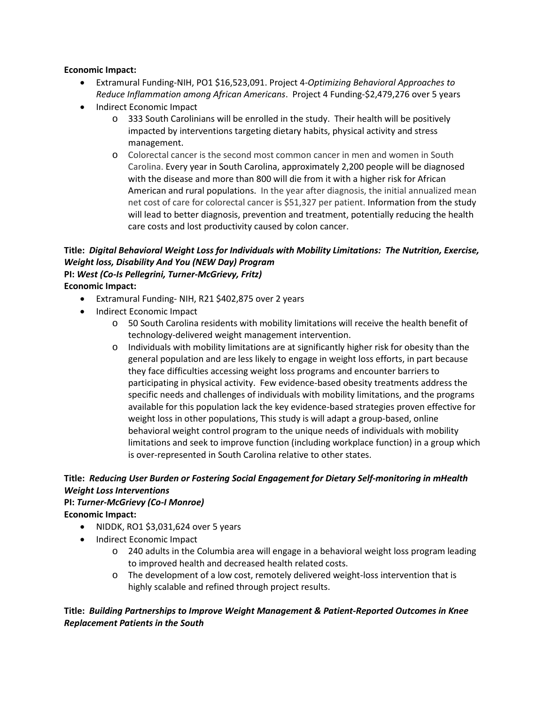## **Economic Impact:**

- Extramural Funding-NIH, PO1 \$16,523,091. Project 4-*Optimizing Behavioral Approaches to Reduce Inflammation among African Americans*. Project 4 Funding-\$2,479,276 over 5 years
- Indirect Economic Impact
	- o 333 South Carolinians will be enrolled in the study. Their health will be positively impacted by interventions targeting dietary habits, physical activity and stress management.
	- o Colorectal cancer is the second most common cancer in men and women in South Carolina. Every year in South Carolina, approximately 2,200 people will be diagnosed with the disease and more than 800 will die from it with a higher risk for African American and rural populations. In the year after diagnosis, the initial annualized mean net cost of care for colorectal cancer is \$51,327 per patient. Information from the study will lead to better diagnosis, prevention and treatment, potentially reducing the health care costs and lost productivity caused by colon cancer.

# **Title:** *Digital Behavioral Weight Loss for Individuals with Mobility Limitations: The Nutrition, Exercise, Weight loss, Disability And You (NEW Day) Program* **PI:** *West (Co-Is Pellegrini, Turner-McGrievy, Fritz)*

# **Economic Impact:**

- Extramural Funding- NIH, R21 \$402,875 over 2 years
- Indirect Economic Impact
	- o 50 South Carolina residents with mobility limitations will receive the health benefit of technology-delivered weight management intervention.
	- o Individuals with mobility limitations are at significantly higher risk for obesity than the general population and are less likely to engage in weight loss efforts, in part because they face difficulties accessing weight loss programs and encounter barriers to participating in physical activity. Few evidence-based obesity treatments address the specific needs and challenges of individuals with mobility limitations, and the programs available for this population lack the key evidence-based strategies proven effective for weight loss in other populations, This study is will adapt a group-based, online behavioral weight control program to the unique needs of individuals with mobility limitations and seek to improve function (including workplace function) in a group which is over-represented in South Carolina relative to other states.

# **Title:** *Reducing User Burden or Fostering Social Engagement for Dietary Self-monitoring in mHealth Weight Loss Interventions*

#### **PI:** *Turner-McGrievy (Co-I Monroe)* **Economic Impact:**

- NIDDK, RO1 \$3,031,624 over 5 years
- Indirect Economic Impact
	- o 240 adults in the Columbia area will engage in a behavioral weight loss program leading to improved health and decreased health related costs.
	- o The development of a low cost, remotely delivered weight-loss intervention that is highly scalable and refined through project results.

# **Title:** *Building Partnerships to Improve Weight Management & Patient-Reported Outcomes in Knee Replacement Patients in the South*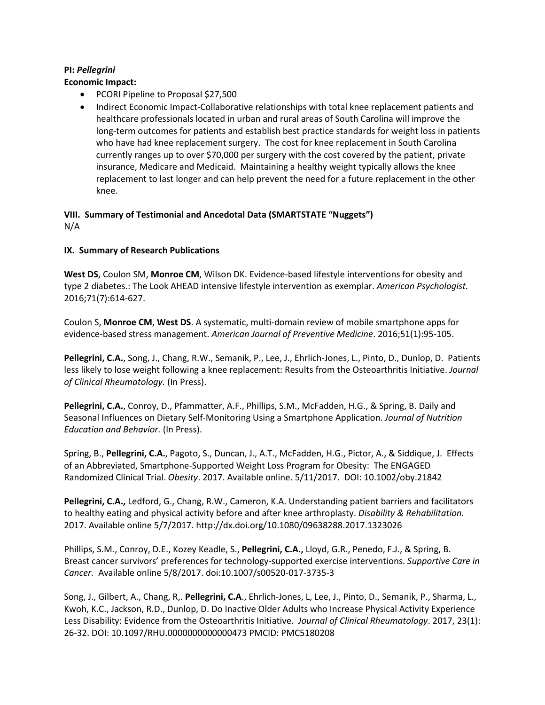## **PI:** *Pellegrini*

### **Economic Impact:**

- PCORI Pipeline to Proposal \$27,500
- Indirect Economic Impact-Collaborative relationships with total knee replacement patients and healthcare professionals located in urban and rural areas of South Carolina will improve the long-term outcomes for patients and establish best practice standards for weight loss in patients who have had knee replacement surgery. The cost for knee replacement in South Carolina currently ranges up to over \$70,000 per surgery with the cost covered by the patient, private insurance, Medicare and Medicaid. Maintaining a healthy weight typically allows the knee replacement to last longer and can help prevent the need for a future replacement in the other knee.

## **VIII. Summary of Testimonial and Ancedotal Data (SMARTSTATE "Nuggets")** N/A

## **IX. Summary of Research Publications**

**West DS**, Coulon SM, **Monroe CM**, Wilson DK. Evidence-based lifestyle interventions for obesity and type 2 diabetes.: The Look AHEAD intensive lifestyle intervention as exemplar. *American Psychologist.*  2016;71(7):614-627.

Coulon S, **Monroe CM**, **West DS**. A systematic, multi-domain review of mobile smartphone apps for evidence-based stress management. *American Journal of Preventive Medicine*. 2016;51(1):95-105.

**Pellegrini, C.A.**, Song, J., Chang, R.W., Semanik, P., Lee, J., Ehrlich-Jones, L., Pinto, D., Dunlop, D. Patients less likely to lose weight following a knee replacement: Results from the Osteoarthritis Initiative. *Journal of Clinical Rheumatology.* (In Press).

**Pellegrini, C.A.**, Conroy, D., Pfammatter, A.F., Phillips, S.M., McFadden, H.G., & Spring, B. Daily and Seasonal Influences on Dietary Self-Monitoring Using a Smartphone Application. *Journal of Nutrition Education and Behavior.* (In Press).

Spring, B., **Pellegrini, C.A.**, Pagoto, S., Duncan, J., A.T., McFadden, H.G., Pictor, A., & Siddique, J. Effects of an Abbreviated, Smartphone-Supported Weight Loss Program for Obesity: The ENGAGED Randomized Clinical Trial. *Obesity*. 2017. Available online. 5/11/2017. DOI: 10.1002/oby.21842

**Pellegrini, C.A.,** Ledford, G., Chang, R.W., Cameron, K.A. Understanding patient barriers and facilitators to healthy eating and physical activity before and after knee arthroplasty. *Disability & Rehabilitation.* 2017. Available online 5/7/2017. http://dx.doi.org/10.1080/09638288.2017.1323026

Phillips, S.M., Conroy, D.E., Kozey Keadle, S., **Pellegrini, C.A.,** Lloyd, G.R., Penedo, F.J., & Spring, B. Breast cancer survivors' preferences for technology-supported exercise interventions. *Supportive Care in Cancer.* Available online 5/8/2017. doi:10.1007/s00520-017-3735-3

Song, J., Gilbert, A., Chang, R,. **Pellegrini, C.A**., Ehrlich-Jones, L, Lee, J., Pinto, D., Semanik, P., Sharma, L., Kwoh, K.C., Jackson, R.D., Dunlop, D. Do Inactive Older Adults who Increase Physical Activity Experience Less Disability: Evidence from the Osteoarthritis Initiative. *Journal of Clinical Rheumatology*. 2017, 23(1): 26-32. DOI: 10.1097/RHU.0000000000000473 PMCID: PMC5180208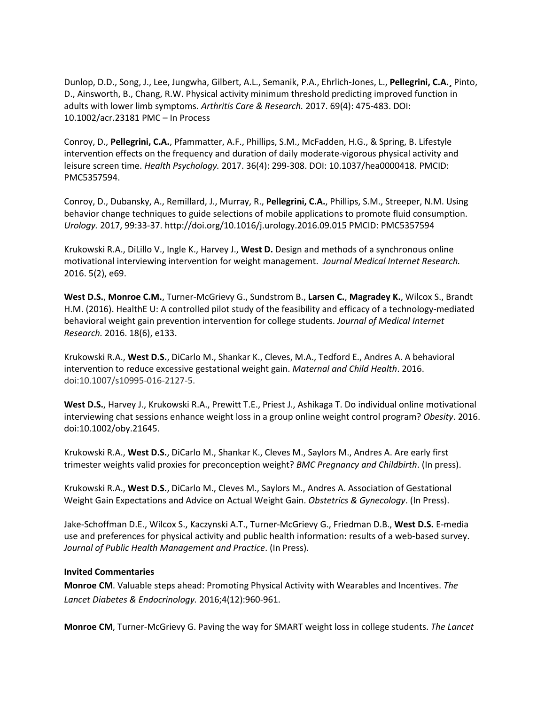Dunlop, D.D., Song, J., Lee, Jungwha, Gilbert, A.L., Semanik, P.A., Ehrlich-Jones, L., **Pellegrini, C.A.¸** Pinto, D., Ainsworth, B., Chang, R.W. Physical activity minimum threshold predicting improved function in adults with lower limb symptoms. *Arthritis Care & Research.* 2017. 69(4): 475-483. DOI: 10.1002/acr.23181 PMC – In Process

Conroy, D., **Pellegrini, C.A.**, Pfammatter, A.F., Phillips, S.M., McFadden, H.G., & Spring, B. Lifestyle intervention effects on the frequency and duration of daily moderate-vigorous physical activity and leisure screen time. *Health Psychology.* 2017. 36(4): 299-308. DOI: 10.1037/hea0000418. PMCID: PMC5357594.

Conroy, D., Dubansky, A., Remillard, J., Murray, R., **Pellegrini, C.A.**, Phillips, S.M., Streeper, N.M. Using behavior change techniques to guide selections of mobile applications to promote fluid consumption. *Urology.* 2017, 99:33-37. http://doi.org/10.1016/j.urology.2016.09.015 PMCID: PMC5357594

Krukowski R.A., DiLillo V., Ingle K., Harvey J., **West D.** Design and methods of a synchronous online motivational interviewing intervention for weight management. *Journal Medical Internet Research.* 2016. 5(2), e69.

**West D.S.**, **Monroe C.M.**, Turner-McGrievy G., Sundstrom B., **Larsen C.**, **Magradey K.**, Wilcox S., Brandt H.M. (2016). HealthE U: A controlled pilot study of the feasibility and efficacy of a technology-mediated behavioral weight gain prevention intervention for college students. *Journal of Medical Internet Research.* 2016. 18(6), e133.

Krukowski R.A., **West D.S.**, DiCarlo M., Shankar K., Cleves, M.A., Tedford E., Andres A. A behavioral intervention to reduce excessive gestational weight gain. *Maternal and Child Health*. 2016. doi:10.1007/s10995-016-2127-5.

**West D.S.**, Harvey J., Krukowski R.A., Prewitt T.E., Priest J., Ashikaga T. Do individual online motivational interviewing chat sessions enhance weight loss in a group online weight control program? *Obesity*. 2016. doi:10.1002/oby.21645.

Krukowski R.A., **West D.S.**, DiCarlo M., Shankar K., Cleves M., Saylors M., Andres A. Are early first trimester weights valid proxies for preconception weight? *BMC Pregnancy and Childbirth*. (In press).

Krukowski R.A., **West D.S.**, DiCarlo M., Cleves M., Saylors M., Andres A. Association of Gestational Weight Gain Expectations and Advice on Actual Weight Gain. *Obstetrics & Gynecology*. (In Press).

Jake-Schoffman D.E., Wilcox S., Kaczynski A.T., Turner-McGrievy G., Friedman D.B., **West D.S.** E-media use and preferences for physical activity and public health information: results of a web-based survey. *Journal of Public Health Management and Practice*. (In Press).

### **Invited Commentaries**

**Monroe CM**. Valuable steps ahead: Promoting Physical Activity with Wearables and Incentives. *The Lancet Diabetes & Endocrinology.* 2016;4(12):960-961.

**Monroe CM**, Turner-McGrievy G. Paving the way for SMART weight loss in college students. *The Lancet*